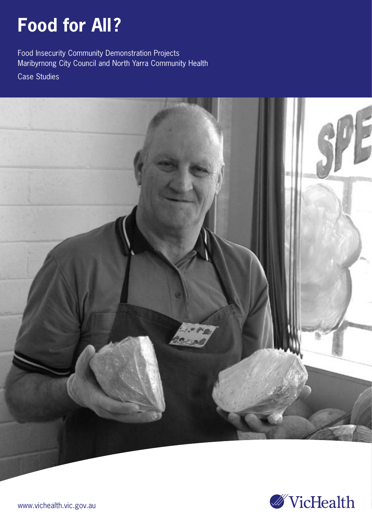# **Food for All?**

Food Insecurity Community Demonstration Projects Maribyrnong City Council and North Yarra Community Health

Case Studies



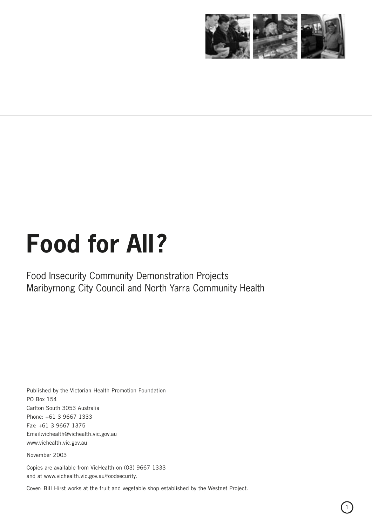

# **Food for All?**

Food Insecurity Community Demonstration Projects Maribyrnong City Council and North Yarra Community Health

Published by the Victorian Health Promotion Foundation PO Box 154 Carlton South 3053 Australia Phone: +61 3 9667 1333 Fax: +61 3 9667 1375 Email:vichealth@vichealth.vic.gov.au www.vichealth.vic.gov.au

November 2003

Copies are available from VicHealth on (03) 9667 1333 and at www.vichealth.vic.gov.au/foodsecurity.

Cover: Bill Hirst works at the fruit and vegetable shop established by the Westnet Project.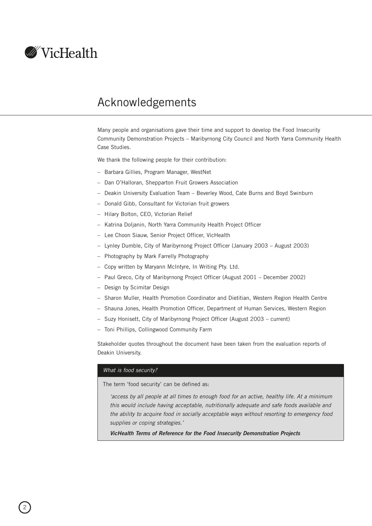

# Acknowledgements

Many people and organisations gave their time and support to develop the Food Insecurity Community Demonstration Projects – Maribyrnong City Council and North Yarra Community Health Case Studies.

We thank the following people for their contribution:

- Barbara Gillies, Program Manager, WestNet
- Dan O'Halloran, Shepparton Fruit Growers Association
- Deakin University Evaluation Team Beverley Wood, Cate Burns and Boyd Swinburn
- Donald Gibb, Consultant for Victorian fruit growers
- Hilary Bolton, CEO, Victorian Relief
- Katrina Doljanin, North Yarra Community Health Project Officer
- Lee Choon Siauw, Senior Project Officer, VicHealth
- Lynley Dumble, City of Maribyrnong Project Officer (January 2003 August 2003)
- Photography by Mark Farrelly Photography
- Copy written by Maryann McIntyre, In Writing Pty. Ltd.
- Paul Greco, City of Maribyrnong Project Officer (August 2001 December 2002)
- Design by Scimitar Design
- Sharon Muller, Health Promotion Coordinator and Dietitian, Western Region Health Centre
- Shauna Jones, Health Promotion Officer, Department of Human Services, Western Region
- Suzy Honisett, City of Maribyrnong Project Officer (August 2003 current)
- Toni Phillips, Collingwood Community Farm

Stakeholder quotes throughout the document have been taken from the evaluation reports of Deakin University.

# What is food security?

The term 'food security' can be defined as:

'access by all people at all times to enough food for an active, healthy life. At a minimum this would include having acceptable, nutritionally adequate and safe foods available and the ability to acquire food in socially acceptable ways without resorting to emergency food supplies or coping strategies.'

**VicHealth Terms of Reference for the Food Insecurity Demonstration Projects**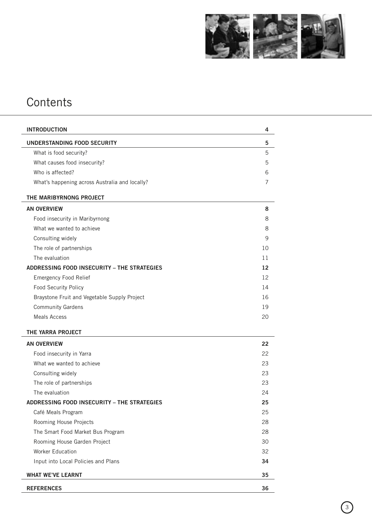

# **Contents**

| <b>INTRODUCTION</b>                            | 4  |
|------------------------------------------------|----|
| UNDERSTANDING FOOD SECURITY                    | 5  |
| What is food security?                         | 5  |
| What causes food insecurity?                   | 5  |
| Who is affected?                               | 6  |
| What's happening across Australia and locally? | 7  |
| THE MARIBYRNONG PROJECT                        |    |
| <b>AN OVERVIEW</b>                             | 8  |
| Food insecurity in Maribyrnong                 | 8  |
| What we wanted to achieve                      | 8  |
| Consulting widely                              | 9  |
| The role of partnerships                       | 10 |
| The evaluation                                 | 11 |
| ADDRESSING FOOD INSECURITY - THE STRATEGIES    | 12 |
| <b>Emergency Food Relief</b>                   | 12 |
| Food Security Policy                           | 14 |
| Braystone Fruit and Vegetable Supply Project   | 16 |
| <b>Community Gardens</b>                       | 19 |
| <b>Meals Access</b>                            | 20 |
| THE YARRA PROJECT                              |    |
| <b>AN OVERVIEW</b>                             | 22 |
| Food insecurity in Yarra                       | 22 |
| What we wanted to achieve                      | 23 |
| Consulting widely                              | 23 |
| The role of partnerships                       | 23 |
| The evaluation                                 | 24 |
| ADDRESSING FOOD INSECURITY – THE STRATEGIES    | 25 |
| Café Meals Program                             | 25 |
| Rooming House Projects                         | 28 |
| The Smart Food Market Bus Program              | 28 |
| Rooming House Garden Project                   | 30 |
| <b>Worker Education</b>                        | 32 |
| Input into Local Policies and Plans            | 34 |
| <b>WHAT WE'VE LEARNT</b>                       | 35 |
| <b>REFERENCES</b>                              | 36 |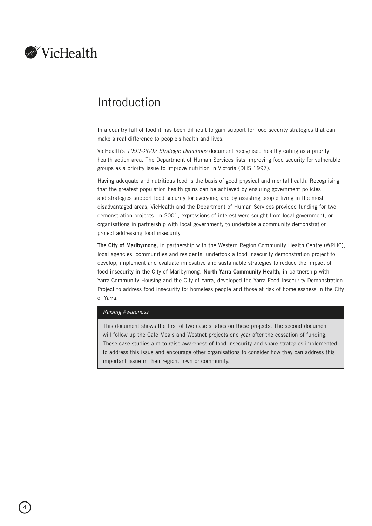<span id="page-5-0"></span>

# Introduction

In a country full of food it has been difficult to gain support for food security strategies that can make a real difference to people's health and lives.

VicHealth's 1999–2002 Strategic Directions document recognised healthy eating as a priority health action area. The Department of Human Services lists improving food security for vulnerable groups as a priority issue to improve nutrition in Victoria (DHS 1997).

Having adequate and nutritious food is the basis of good physical and mental health. Recognising that the greatest population health gains can be achieved by ensuring government policies and strategies support food security for everyone, and by assisting people living in the most disadvantaged areas, VicHealth and the Department of Human Services provided funding for two demonstration projects. In 2001, expressions of interest were sought from local government, or organisations in partnership with local government, to undertake a community demonstration project addressing food insecurity.

**The City of Maribyrnong,** in partnership with the Western Region Community Health Centre (WRHC), local agencies, communities and residents, undertook a food insecurity demonstration project to develop, implement and evaluate innovative and sustainable strategies to reduce the impact of food insecurity in the City of Maribyrnong. **North Yarra Community Health,** in partnership with Yarra Community Housing and the City of Yarra, developed the Yarra Food Insecurity Demonstration Project to address food insecurity for homeless people and those at risk of homelessness in the City of Yarra.

#### Raising Awareness

This document shows the first of two case studies on these projects. The second document will follow up the Café Meals and Westnet projects one year after the cessation of funding. These case studies aim to raise awareness of food insecurity and share strategies implemented to address this issue and encourage other organisations to consider how they can address this important issue in their region, town or community.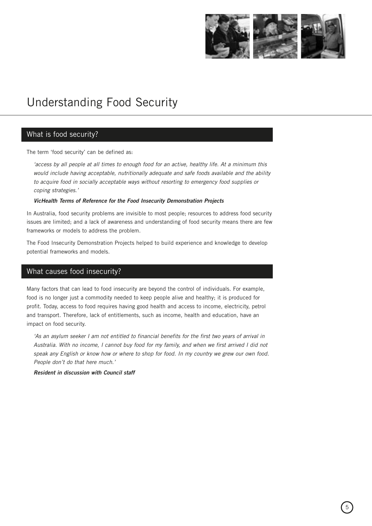

# <span id="page-6-0"></span>Understanding Food Security

# What is food security?

The term 'food security' can be defined as:

'access by all people at all times to enough food for an active, healthy life. At a minimum this would include having acceptable, nutritionally adequate and safe foods available and the ability to acquire food in socially acceptable ways without resorting to emergency food supplies or coping strategies.'

#### **VicHealth Terms of Reference for the Food Insecurity Demonstration Projects**

In Australia, food security problems are invisible to most people; resources to address food security issues are limited; and a lack of awareness and understanding of food security means there are few frameworks or models to address the problem.

The Food Insecurity Demonstration Projects helped to build experience and knowledge to develop potential frameworks and models.

# What causes food insecurity?

Many factors that can lead to food insecurity are beyond the control of individuals. For example, food is no longer just a commodity needed to keep people alive and healthy; it is produced for profit. Today, access to food requires having good health and access to income, electricity, petrol and transport. Therefore, lack of entitlements, such as income, health and education, have an impact on food security.

'As an asylum seeker I am not entitled to financial benefits for the first two years of arrival in Australia. With no income, I cannot buy food for my family, and when we first arrived I did not speak any English or know how or where to shop for food. In my country we grew our own food. People don't do that here much.'

#### **Resident in discussion with Council staff**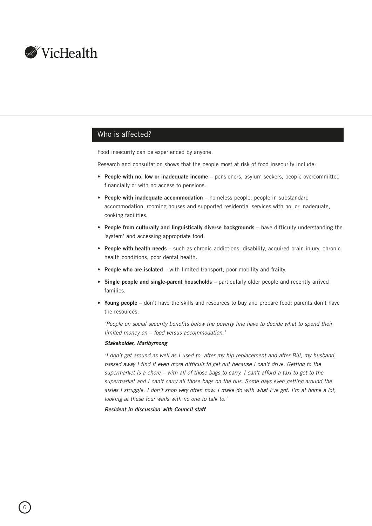<span id="page-7-0"></span>

# Who is affected?

Food insecurity can be experienced by anyone.

Research and consultation shows that the people most at risk of food insecurity include:

- **People with no, low or inadequate income** pensioners, asylum seekers, people overcommitted financially or with no access to pensions.
- **People with inadequate accommodation** homeless people, people in substandard accommodation, rooming houses and supported residential services with no, or inadequate, cooking facilities.
- **People from culturally and linguistically diverse backgrounds** have difficulty understanding the 'system' and accessing appropriate food.
- **People with health needs** such as chronic addictions, disability, acquired brain injury, chronic health conditions, poor dental health.
- **People who are isolated** with limited transport, poor mobility and frailty.
- **Single people and single-parent households** particularly older people and recently arrived families.
- **Young people** don't have the skills and resources to buy and prepare food; parents don't have the resources.

'People on social security benefits below the poverty line have to decide what to spend their limited money on – food versus accommodation.'

#### **Stakeholder, Maribyrnong**

'I don't get around as well as I used to after my hip replacement and after Bill, my husband, passed away I find it even more difficult to get out because I can't drive. Getting to the supermarket is a chore – with all of those bags to carry. I can't afford a taxi to get to the supermarket and I can't carry all those bags on the bus. Some days even getting around the aisles I struggle. I don't shop very often now. I make do with what I've got. I'm at home a lot, looking at these four walls with no one to talk to.'

**Resident in discussion with Council staff**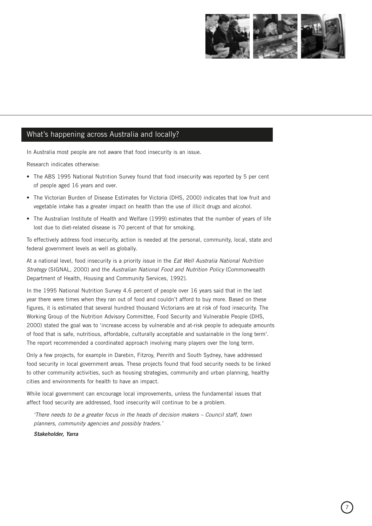

# <span id="page-8-0"></span>What's happening across Australia and locally?

In Australia most people are not aware that food insecurity is an issue.

Research indicates otherwise:

- The ABS 1995 National Nutrition Survey found that food insecurity was reported by 5 per cent of people aged 16 years and over.
- The Victorian Burden of Disease Estimates for Victoria (DHS, 2000) indicates that low fruit and vegetable intake has a greater impact on health than the use of illicit drugs and alcohol.
- The Australian Institute of Health and Welfare (1999) estimates that the number of years of life lost due to diet-related disease is 70 percent of that for smoking.

To effectively address food insecurity, action is needed at the personal, community, local, state and federal government levels as well as globally.

At a national level, food insecurity is a priority issue in the *Eat Well Australia National Nutrition* Strategy (SIGNAL, 2000) and the Australian National Food and Nutrition Policy (Commonwealth Department of Health, Housing and Community Services, 1992).

In the 1995 National Nutrition Survey 4.6 percent of people over 16 years said that in the last year there were times when they ran out of food and couldn't afford to buy more. Based on these figures, it is estimated that several hundred thousand Victorians are at risk of food insecurity. The Working Group of the Nutrition Advisory Committee, Food Security and Vulnerable People (DHS, 2000) stated the goal was to 'increase access by vulnerable and at-risk people to adequate amounts of food that is safe, nutritious, affordable, culturally acceptable and sustainable in the long term'. The report recommended a coordinated approach involving many players over the long term.

Only a few projects, for example in Darebin, Fitzroy, Penrith and South Sydney, have addressed food security in local government areas. These projects found that food security needs to be linked to other community activities, such as housing strategies, community and urban planning, healthy cities and environments for health to have an impact.

While local government can encourage local improvements, unless the fundamental issues that affect food security are addressed, food insecurity will continue to be a problem.

'There needs to be a greater focus in the heads of decision makers – Council staff, town planners, community agencies and possibly traders.'

**Stakeholder, Yarra**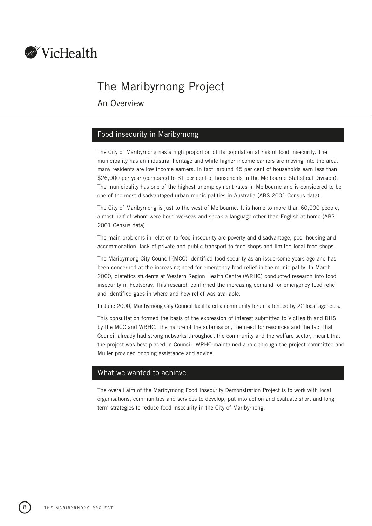<span id="page-9-0"></span>

# The Maribyrnong Project

An Overview

# Food insecurity in Maribyrnong

The City of Maribyrnong has a high proportion of its population at risk of food insecurity. The municipality has an industrial heritage and while higher income earners are moving into the area, many residents are low income earners. In fact, around 45 per cent of households earn less than \$26,000 per year (compared to 31 per cent of households in the Melbourne Statistical Division). The municipality has one of the highest unemployment rates in Melbourne and is considered to be one of the most disadvantaged urban municipalities in Australia (ABS 2001 Census data).

The City of Maribyrnong is just to the west of Melbourne. It is home to more than 60,000 people, almost half of whom were born overseas and speak a language other than English at home (ABS 2001 Census data).

The main problems in relation to food insecurity are poverty and disadvantage, poor housing and accommodation, lack of private and public transport to food shops and limited local food shops.

The Maribyrnong City Council (MCC) identified food security as an issue some years ago and has been concerned at the increasing need for emergency food relief in the municipality. In March 2000, dietetics students at Western Region Health Centre (WRHC) conducted research into food insecurity in Footscray. This research confirmed the increasing demand for emergency food relief and identified gaps in where and how relief was available.

In June 2000, Maribyrnong City Council facilitated a community forum attended by 22 local agencies.

This consultation formed the basis of the expression of interest submitted to VicHealth and DHS by the MCC and WRHC. The nature of the submission, the need for resources and the fact that Council already had strong networks throughout the community and the welfare sector, meant that the project was best placed in Council. WRHC maintained a role through the project committee and Muller provided ongoing assistance and advice.

# What we wanted to achieve

The overall aim of the Maribyrnong Food Insecurity Demonstration Project is to work with local organisations, communities and services to develop, put into action and evaluate short and long term strategies to reduce food insecurity in the City of Maribyrnong.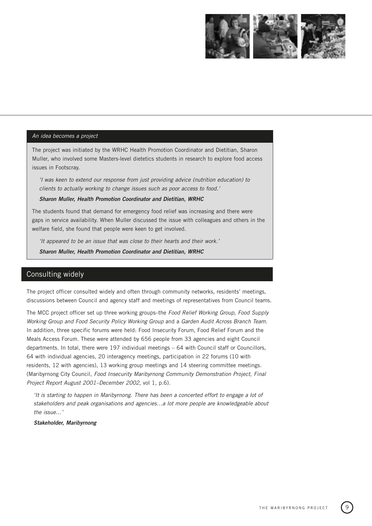

#### <span id="page-10-0"></span>An idea becomes a project

The project was initiated by the WRHC Health Promotion Coordinator and Dietitian, Sharon Muller, who involved some Masters-level dietetics students in research to explore food access issues in Footscray.

'I was keen to extend our response from just providing advice (nutrition education) to clients to actually working to change issues such as poor access to food.'

### **Sharon Muller, Health Promotion Coordinator and Dietitian, WRHC**

The students found that demand for emergency food relief was increasing and there were gaps in service availability. When Muller discussed the issue with colleagues and others in the welfare field, she found that people were keen to get involved.

'It appeared to be an issue that was close to their hearts and their work.'

**Sharon Muller, Health Promotion Coordinator and Dietitian, WRHC**

# Consulting widely

The project officer consulted widely and often through community networks, residents' meetings, discussions between Council and agency staff and meetings of representatives from Council teams.

The MCC project officer set up three working groups–the Food Relief Working Group, Food Supply Working Group and Food Security Policy Working Group and a Garden Audit Across Branch Team. In addition, three specific forums were held: Food Insecurity Forum, Food Relief Forum and the Meals Access Forum. These were attended by 656 people from 33 agencies and eight Council departments. In total, there were 197 individual meetings - 64 with Council staff or Councillors, 64 with individual agencies, 20 interagency meetings, participation in 22 forums (10 with residents, 12 with agencies), 13 working group meetings and 14 steering committee meetings. (Maribyrnong City Council, Food Insecurity Maribyrnong Community Demonstration Project, Final Project Report August 2001–December 2002, vol 1, p.6).

'It is starting to happen in Maribyrnong. There has been a concerted effort to engage a lot of stakeholders and peak organisations and agencies…a lot more people are knowledgeable about the issue…'

**Stakeholder, Maribyrnong**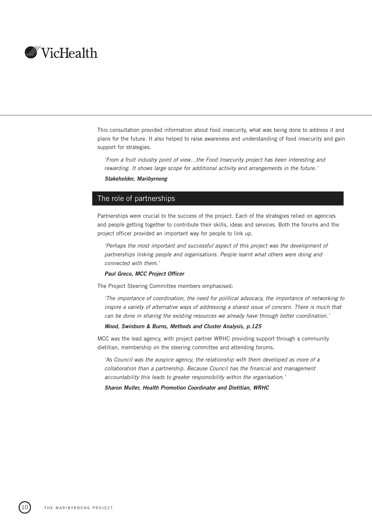<span id="page-11-0"></span>

This consultation provided information about food insecurity, what was being done to address it and plans for the future. It also helped to raise awareness and understanding of food insecurity and gain support for strategies.

'From a fruit industry point of view…the Food Insecurity project has been interesting and rewarding. It shows large scope for additional activity and arrangements in the future.' **Stakeholder, Maribyrnong**

# The role of partnerships

Partnerships were crucial to the success of the project. Each of the strategies relied on agencies and people getting together to contribute their skills, ideas and services. Both the forums and the project officer provided an important way for people to link up.

'Perhaps the most important and successful aspect of this project was the development of partnerships linking people and organisations. People learnt what others were doing and connected with them.'

# **Paul Greco, MCC Project Officer**

The Project Steering Committee members emphasised:

'The importance of coordination, the need for political advocacy, the importance of networking to inspire a variety of alternative ways of addressing a shared issue of concern. There is much that can be done in sharing the existing resources we already have through better coordination.'

### **Wood, Swinburn & Burns, Methods and Cluster Analysis, p.125**

MCC was the lead agency, with project partner WRHC providing support through a community dietitian, membership on the steering committee and attending forums.

'As Council was the auspice agency, the relationship with them developed as more of a collaboration than a partnership. Because Council has the financial and management accountability this leads to greater responsibility within the organisation.'

**Sharon Muller, Health Promotion Coordinator and Dietitian, WRHC**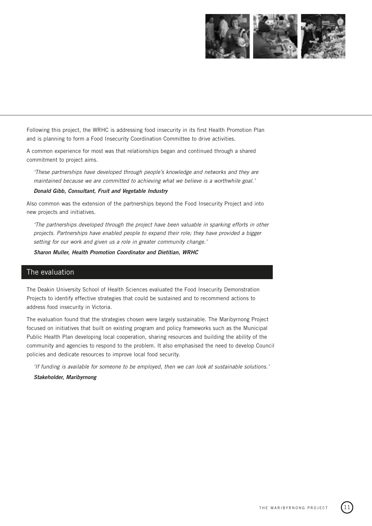

<span id="page-12-0"></span>Following this project, the WRHC is addressing food insecurity in its first Health Promotion Plan and is planning to form a Food Insecurity Coordination Committee to drive activities.

A common experience for most was that relationships began and continued through a shared commitment to project aims.

'These partnerships have developed through people's knowledge and networks and they are maintained because we are committed to achieving what we believe is a worthwhile goal.'

#### **Donald Gibb, Consultant, Fruit and Vegetable Industry**

Also common was the extension of the partnerships beyond the Food Insecurity Project and into new projects and initiatives.

'The partnerships developed through the project have been valuable in sparking efforts in other projects. Partnerships have enabled people to expand their role; they have provided a bigger setting for our work and given us a role in greater community change.'

**Sharon Muller, Health Promotion Coordinator and Dietitian, WRHC**

# The evaluation

The Deakin University School of Health Sciences evaluated the Food Insecurity Demonstration Projects to identify effective strategies that could be sustained and to recommend actions to address food insecurity in Victoria.

The evaluation found that the strategies chosen were largely sustainable. The Maribyrnong Project focused on initiatives that built on existing program and policy frameworks such as the Municipal Public Health Plan developing local cooperation, sharing resources and building the ability of the community and agencies to respond to the problem. It also emphasised the need to develop Council policies and dedicate resources to improve local food security.

'If funding is available for someone to be employed, then we can look at sustainable solutions.'

# **Stakeholder, Maribyrnong**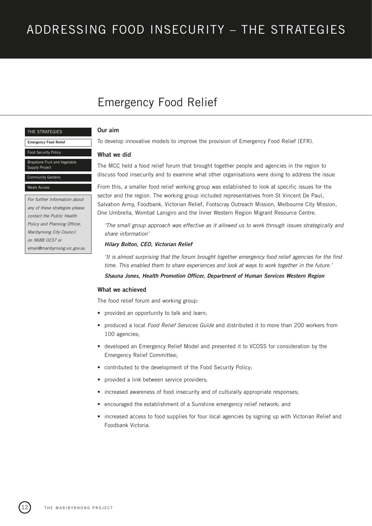# <span id="page-13-0"></span>[ADDRESSING FOOD INSECURITY – THE STRATEGIES](#page-26-0)

# Emergency Food Relief

#### THE STRATEGIES

**Emergency Food Relief**

#### Food Security Policy

stone Fruit and Vegetable Supply Project

# munity Gardens

#### als Acces

For further information about any of these strategies please contact the Public Health Policy and Planning Officer, Maribyrnong City Council on 9688 0237 or email@maribyrnong.vic.gov.au

# **Our aim**

To develop innovative models to improve the provision of Emergency Food Relief (EFR).

### **What we did**

The MCC held a food relief forum that brought together people and agencies in the region to discuss food insecurity and to examine what other organisations were doing to address the issue

From this, a smaller food relief working group was established to look at specific issues for the sector and the region. The working group included representatives from St Vincent De Paul, Salvation Army, Foodbank, Victorian Relief, Footscray Outreach Mission, Melbourne City Mission, One Umbrella, Wombat Lanigiro and the Inner Western Region Migrant Resource Centre.

'The small group approach was effective as it allowed us to work through issues strategically and share information'

#### **Hilary Bolton, CEO, Victorian Relief**

'It is almost surprising that the forum brought together emergency food relief agencies for the first time. This enabled them to share experiences and look at ways to work together in the future.'

**Shauna Jones, Health Promotion Officer, Department of Human Services Western Region**

#### **What we achieved**

The food relief forum and working group:

- provided an opportunity to talk and learn;
- produced a local Food Relief Services Guide and distributed it to more than 200 workers from 100 agencies;
- developed an Emergency Relief Model and presented it to VCOSS for consideration by the Emergency Relief Committee;
- contributed to the development of the Food Security Policy;
- provided a link between service providers;
- increased awareness of food insecurity and of culturally appropriate responses;
- encouraged the establishment of a Sunshine emergency relief network; and
- increased access to food supplies for four local agencies by signing up with Victorian Relief and Foodbank Victoria.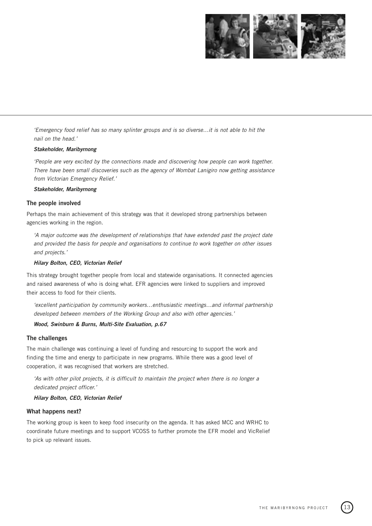

'Emergency food relief has so many splinter groups and is so diverse…it is not able to hit the nail on the head.'

# **Stakeholder, Maribyrnong**

'People are very excited by the connections made and discovering how people can work together. There have been small discoveries such as the agency of Wombat Lanigiro now getting assistance from Victorian Emergency Relief.'

# **Stakeholder, Maribyrnong**

### **The people involved**

Perhaps the main achievement of this strategy was that it developed strong partnerships between agencies working in the region.

'A major outcome was the development of relationships that have extended past the project date and provided the basis for people and organisations to continue to work together on other issues and projects.'

#### **Hilary Bolton, CEO, Victorian Relief**

This strategy brought together people from local and statewide organisations. It connected agencies and raised awareness of who is doing what. EFR agencies were linked to suppliers and improved their access to food for their clients.

'excellent participation by community workers…enthusiastic meetings…and informal partnership developed between members of the Working Group and also with other agencies.'

# **Wood, Swinburn & Burns, Multi-Site Evaluation, p.67**

## **The challenges**

The main challenge was continuing a level of funding and resourcing to support the work and finding the time and energy to participate in new programs. While there was a good level of cooperation, it was recognised that workers are stretched.

'As with other pilot projects, it is difficult to maintain the project when there is no longer a dedicated project officer.'

**Hilary Bolton, CEO, Victorian Relief**

#### **What happens next?**

The working group is keen to keep food insecurity on the agenda. It has asked MCC and WRHC to coordinate future meetings and to support VCOSS to further promote the EFR model and VicRelief to pick up relevant issues.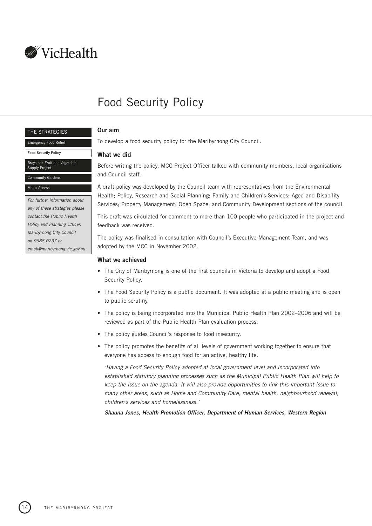<span id="page-15-0"></span>

# Food Security Policy

#### THE STRATEGIES

Emergency Food Relief

#### **Food Security Policy**

### Braystone Fruit and Vegetable

Supply Project Community Gardens

#### Meals Access

For further information about any of these strategies please contact the Public Health Policy and Planning Officer, Maribyrnong City Council on 9688 0237 or email@maribyrnong.vic.gov.au

# **Our aim**

To develop a food security policy for the Maribyrnong City Council.

# **What we did**

Before writing the policy, MCC Project Officer talked with community members, local organisations and Council staff.

A draft policy was developed by the Council team with representatives from the Environmental Health; Policy, Research and Social Planning; Family and Children's Services; Aged and Disability Services; Property Management; Open Space; and Community Development sections of the council.

This draft was circulated for comment to more than 100 people who participated in the project and feedback was received.

The policy was finalised in consultation with Council's Executive Management Team, and was adopted by the MCC in November 2002.

# **What we achieved**

- The City of Maribyrnong is one of the first councils in Victoria to develop and adopt a Food Security Policy.
- The Food Security Policy is a public document. It was adopted at a public meeting and is open to public scrutiny.
- The policy is being incorporated into the Municipal Public Health Plan 2002–2006 and will be reviewed as part of the Public Health Plan evaluation process.
- The policy guides Council's response to food insecurity.
- The policy promotes the benefits of all levels of government working together to ensure that everyone has access to enough food for an active, healthy life.

'Having a Food Security Policy adopted at local government level and incorporated into established statutory planning processes such as the Municipal Public Health Plan will help to keep the issue on the agenda. It will also provide opportunities to link this important issue to many other areas, such as Home and Community Care, mental health, neighbourhood renewal, children's services and homelessness.'

**Shauna Jones, Health Promotion Officer, Department of Human Services, Western Region**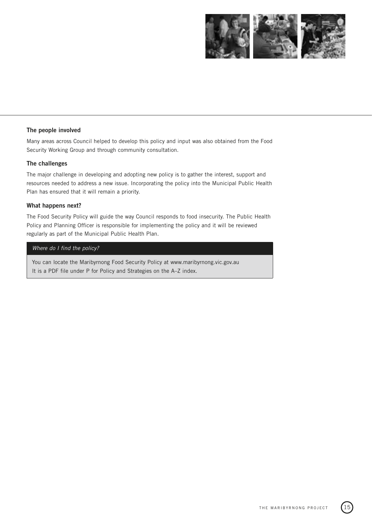

# **The people involved**

Many areas across Council helped to develop this policy and input was also obtained from the Food Security Working Group and through community consultation.

# **The challenges**

The major challenge in developing and adopting new policy is to gather the interest, support and resources needed to address a new issue. Incorporating the policy into the Municipal Public Health Plan has ensured that it will remain a priority.

#### **What happens next?**

The Food Security Policy will guide the way Council responds to food insecurity. The Public Health Policy and Planning Officer is responsible for implementing the policy and it will be reviewed regularly as part of the Municipal Public Health Plan.

# Where do I find the policy?

You can locate the Maribyrnong Food Security Policy at www.maribyrnong.vic.gov.au It is a PDF file under P for Policy and Strategies on the A–Z index.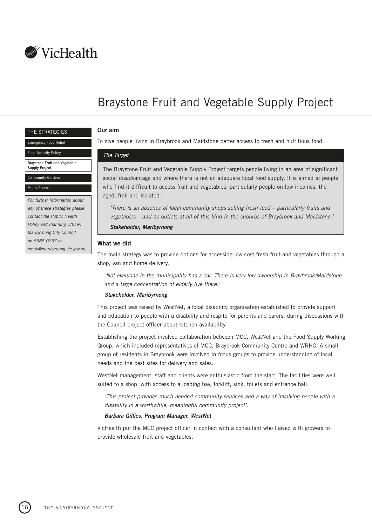<span id="page-17-0"></span>

# Braystone Fruit and Vegetable Supply Project

#### THE STRATEGIES

#### Emergency Food Relief

Food Security Policy

#### **Braystone Fruit and Vegetable Supply Project**

Community Gardens

#### Meals Access

For further information about any of these strategies please contact the Public Health Policy and Planning Officer, Maribyrnong City Council on 9688 0237 or email@maribyrnong.vic.gov.au

# **Our aim**

To give people living in Braybrook and Maidstone better access to fresh and nutritious food.

#### The Target

The Braystone Fruit and Vegetable Supply Project targets people living in an area of significant social disadvantage and where there is not an adequate local food supply. It is aimed at people who find it difficult to access fruit and vegetables, particularly people on low incomes, the aged, frail and isolated.

'There is an absence of local community shops selling fresh food – particularly fruits and vegetables – and no outlets at all of this kind in the suburbs of Braybrook and Maidstone.'

**Stakeholder, Maribyrnong**

#### **What we did**

The main strategy was to provide options for accessing low-cost fresh fruit and vegetables through a shop, van and home delivery.

'Not everyone in the municipality has a car. There is very low ownership in Braybrook/Maidstone and a large concentration of elderly live there.'

#### **Stakeholder, Maribyrnong**

This project was raised by WestNet, a local disability organisation established to provide support and education to people with a disability and respite for parents and carers, during discussions with the Council project officer about kitchen availability.

Establishing the project involved collaboration between MCC, WestNet and the Food Supply Working Group, which included representatives of MCC, Braybrook Community Centre and WRHC. A small group of residents in Braybrook were involved in focus groups to provide understanding of local needs and the best sites for delivery and sales.

WestNet management, staff and clients were enthusiastic from the start. The facilities were well suited to a shop, with access to a loading bay, forklift, sink, toilets and entrance hall.

'This project provides much needed community services and a way of involving people with a disability in a worthwhile, meaningful community project'.

#### **Barbara Gillies, Program Manager, WestNet**

VicHealth put the MCC project officer in contact with a consultant who liaised with growers to provide wholesale fruit and vegetables.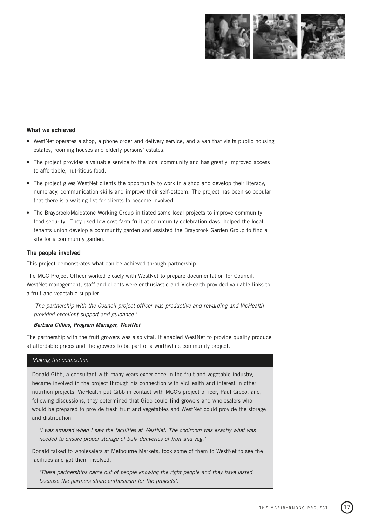

### **What we achieved**

- WestNet operates a shop, a phone order and delivery service, and a van that visits public housing estates, rooming houses and elderly persons' estates.
- The project provides a valuable service to the local community and has greatly improved access to affordable, nutritious food.
- The project gives WestNet clients the opportunity to work in a shop and develop their literacy, numeracy, communication skills and improve their self-esteem. The project has been so popular that there is a waiting list for clients to become involved.
- The Braybrook/Maidstone Working Group initiated some local projects to improve community food security. They used low-cost farm fruit at community celebration days, helped the local tenants union develop a community garden and assisted the Braybrook Garden Group to find a site for a community garden.

#### **The people involved**

This project demonstrates what can be achieved through partnership.

The MCC Project Officer worked closely with WestNet to prepare documentation for Council. WestNet management, staff and clients were enthusiastic and VicHealth provided valuable links to a fruit and vegetable supplier.

'The partnership with the Council project officer was productive and rewarding and VicHealth provided excellent support and guidance.'

#### **Barbara Gillies, Program Manager, WestNet**

The partnership with the fruit growers was also vital. It enabled WestNet to provide quality produce at affordable prices and the growers to be part of a worthwhile community project.

# Making the connection

Donald Gibb, a consultant with many years experience in the fruit and vegetable industry, became involved in the project through his connection with VicHealth and interest in other nutrition projects. VicHealth put Gibb in contact with MCC's project officer, Paul Greco, and, following discussions, they determined that Gibb could find growers and wholesalers who would be prepared to provide fresh fruit and vegetables and WestNet could provide the storage and distribution.

'I was amazed when I saw the facilities at WestNet. The coolroom was exactly what was needed to ensure proper storage of bulk deliveries of fruit and veg.'

Donald talked to wholesalers at Melbourne Markets, took some of them to WestNet to see the facilities and got them involved.

'These partnerships came out of people knowing the right people and they have lasted because the partners share enthusiasm for the projects'.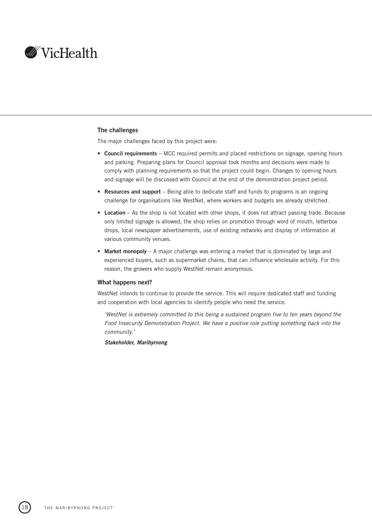

# **The challenges**

The major challenges faced by this project were:

- **Council requirements** MCC required permits and placed restrictions on signage, opening hours and parking. Preparing plans for Council approval took months and decisions were made to comply with planning requirements so that the project could begin. Changes to opening hours and signage will be discussed with Council at the end of the demonstration project period.
- **Resources and support** Being able to dedicate staff and funds to programs is an ongoing challenge for organisations like WestNet, where workers and budgets are already stretched.
- **Location** As the shop is not located with other shops, it does not attract passing trade. Because only limited signage is allowed, the shop relies on promotion through word of mouth, letterbox drops, local newspaper advertisements, use of existing networks and display of information at various community venues.
- **Market monopoly** A major challenge was entering a market that is dominated by large and experienced buyers, such as supermarket chains, that can influence wholesale activity. For this reason, the growers who supply WestNet remain anonymous.

#### **What happens next?**

WestNet intends to continue to provide the service. This will require dedicated staff and funding and cooperation with local agencies to identify people who need the service.

'WestNet is extremely committed to this being a sustained program five to ten years beyond the Food Insecurity Demonstration Project. We have a positive role putting something back into the community.'

**Stakeholder, Maribyrnong**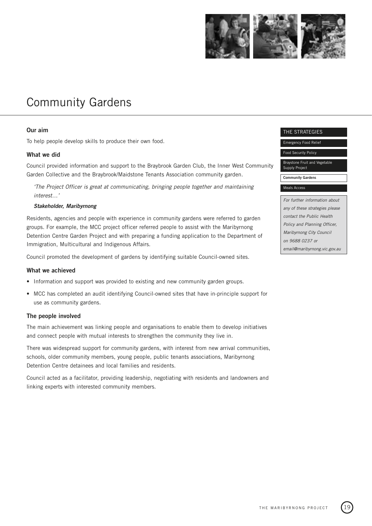

# <span id="page-20-0"></span>Community Gardens

# **Our aim**

To help people develop skills to produce their own food.

# **What we did**

Council provided information and support to the Braybrook Garden Club, the Inner West Community Garden Collective and the Braybrook/Maidstone Tenants Association community garden.

'The Project Officer is great at communicating, bringing people together and maintaining interest…'

#### **Stakeholder, Maribyrnong**

Residents, agencies and people with experience in community gardens were referred to garden groups. For example, the MCC project officer referred people to assist with the Maribyrnong Detention Centre Garden Project and with preparing a funding application to the Department of Immigration, Multicultural and Indigenous Affairs.

Council promoted the development of gardens by identifying suitable Council-owned sites.

#### **What we achieved**

- Information and support was provided to existing and new community garden groups.
- MCC has completed an audit identifying Council-owned sites that have in-principle support for use as community gardens.

### **The people involved**

The main achievement was linking people and organisations to enable them to develop initiatives and connect people with mutual interests to strengthen the community they live in.

There was widespread support for community gardens, with interest from new arrival communities, schools, older community members, young people, public tenants associations, Maribyrnong Detention Centre detainees and local families and residents.

Council acted as a facilitator, providing leadership, negotiating with residents and landowners and linking experts with interested community members.

#### THE STRATEGIES

Emergency Food Relief

Food Security Policy

Braystone Fruit and Vegetable Supply Project

**Community Gardens**

#### Meals Access

For further information about any of these strategies please contact the Public Health Policy and Planning Officer, Maribyrnong City Council on 9688 0237 or email@maribyrnong.vic.gov.au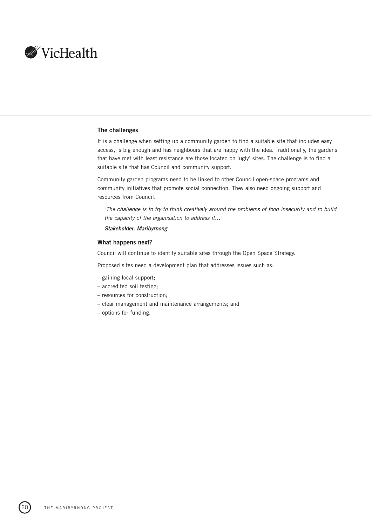<span id="page-21-0"></span>

### **The challenges**

It is a challenge when setting up a community garden to find a suitable site that includes easy access, is big enough and has neighbours that are happy with the idea. Traditionally, the gardens that have met with least resistance are those located on 'ugly' sites. The challenge is to find a suitable site that has Council and community support.

Community garden programs need to be linked to other Council open-space programs and community initiatives that promote social connection. They also need ongoing support and resources from Council.

'The challenge is to try to think creatively around the problems of food insecurity and to build the capacity of the organisation to address it…'

# **Stakeholder, Maribyrnong**

# **What happens next?**

Council will continue to identify suitable sites through the Open Space Strategy.

Proposed sites need a development plan that addresses issues such as:

- gaining local support;
- accredited soil testing;
- resources for construction;
- clear management and maintenance arrangements; and
- options for funding.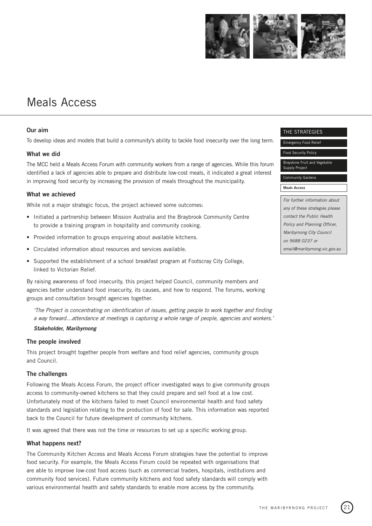

# Meals Access

# **Our aim**

To develop ideas and models that build a community's ability to tackle food insecurity over the long term.

# **What we did**

The MCC held a Meals Access Forum with community workers from a range of agencies. While this forum identified a lack of agencies able to prepare and distribute low-cost meals, it indicated a great interest in improving food security by increasing the provision of meals throughout the municipality.

# **What we achieved**

While not a major strategic focus, the project achieved some outcomes:

- Initiated a partnership between Mission Australia and the Braybrook Community Centre to provide a training program in hospitality and community cooking.
- Provided information to groups enquiring about available kitchens.
- Circulated information about resources and services available.
- Supported the establishment of a school breakfast program at Footscray City College, linked to Victorian Relief.

By raising awareness of food insecurity, this project helped Council, community members and agencies better understand food insecurity, its causes, and how to respond. The forums, working groups and consultation brought agencies together.

'The Project is concentrating on identification of issues, getting people to work together and finding a way forward…attendance at meetings is capturing a whole range of people, agencies and workers.'

#### **Stakeholder, Maribyrnong**

# **The people involved**

This project brought together people from welfare and food relief agencies, community groups and Council.

#### **The challenges**

Following the Meals Access Forum, the project officer investigated ways to give community groups access to community-owned kitchens so that they could prepare and sell food at a low cost. Unfortunately most of the kitchens failed to meet Council environmental health and food safety standards and legislation relating to the production of food for sale. This information was reported back to the Council for future development of community kitchens.

It was agreed that there was not the time or resources to set up a specific working group.

# **What happens next?**

The Community Kitchen Access and Meals Access Forum strategies have the potential to improve food security. For example, the Meals Access Forum could be repeated with organisations that are able to improve low-cost food access (such as commercial traders, hospitals, institutions and community food services). Future community kitchens and food safety standards will comply with various environmental health and safety standards to enable more access by the community.

#### THE STRATEGIES

Emergency Food Relief

Food Security Policy

Braystone Fruit and Vegetable Supply Project

# Community Gardens

#### **Meals Access**

For further information about any of these strategies please contact the Public Health Policy and Planning Officer, Maribyrnong City Council on 9688 0237 or email@maribyrnong.vic.gov.au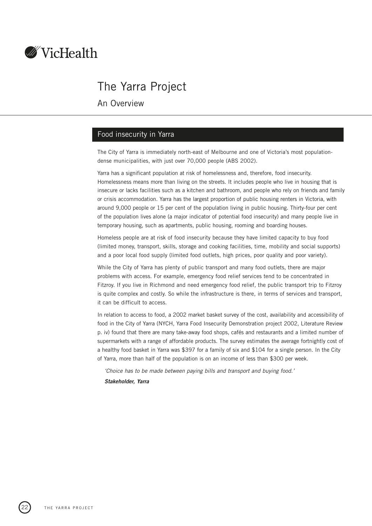<span id="page-23-0"></span>

# The Yarra Project

An Overview

# Food insecurity in Yarra

The City of Yarra is immediately north-east of Melbourne and one of Victoria's most populationdense municipalities, with just over 70,000 people (ABS 2002).

Yarra has a significant population at risk of homelessness and, therefore, food insecurity. Homelessness means more than living on the streets. It includes people who live in housing that is insecure or lacks facilities such as a kitchen and bathroom, and people who rely on friends and family or crisis accommodation. Yarra has the largest proportion of public housing renters in Victoria, with around 9,000 people or 15 per cent of the population living in public housing. Thirty-four per cent of the population lives alone (a major indicator of potential food insecurity) and many people live in temporary housing, such as apartments, public housing, rooming and boarding houses.

Homeless people are at risk of food insecurity because they have limited capacity to buy food (limited money, transport, skills, storage and cooking facilities, time, mobility and social supports) and a poor local food supply (limited food outlets, high prices, poor quality and poor variety).

While the City of Yarra has plenty of public transport and many food outlets, there are major problems with access. For example, emergency food relief services tend to be concentrated in Fitzroy. If you live in Richmond and need emergency food relief, the public transport trip to Fitzroy is quite complex and costly. So while the infrastructure is there, in terms of services and transport, it can be difficult to access.

In relation to access to food, a 2002 market basket survey of the cost, availability and accessibility of food in the City of Yarra (NYCH, Yarra Food Insecurity Demonstration project 2002, Literature Review p. iv) found that there are many take-away food shops, cafés and restaurants and a limited number of supermarkets with a range of affordable products. The survey estimates the average fortnightly cost of a healthy food basket in Yarra was \$397 for a family of six and \$104 for a single person. In the City of Yarra, more than half of the population is on an income of less than \$300 per week.

'Choice has to be made between paying bills and transport and buying food.'

**Stakeholder, Yarra**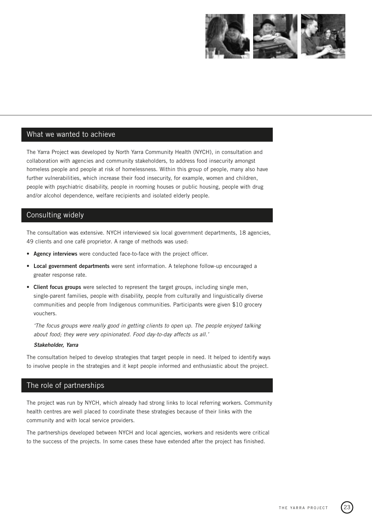

# <span id="page-24-0"></span>What we wanted to achieve

The Yarra Project was developed by North Yarra Community Health (NYCH), in consultation and collaboration with agencies and community stakeholders, to address food insecurity amongst homeless people and people at risk of homelessness. Within this group of people, many also have further vulnerabilities, which increase their food insecurity, for example, women and children, people with psychiatric disability, people in rooming houses or public housing, people with drug and/or alcohol dependence, welfare recipients and isolated elderly people.

# Consulting widely

The consultation was extensive. NYCH interviewed six local government departments, 18 agencies, 49 clients and one café proprietor. A range of methods was used:

- **Agency interviews** were conducted face-to-face with the project officer.
- **Local government departments** were sent information. A telephone follow-up encouraged a greater response rate.
- **Client focus groups** were selected to represent the target groups, including single men, single-parent families, people with disability, people from culturally and linguistically diverse communities and people from Indigenous communities. Participants were given \$10 grocery vouchers.

'The focus groups were really good in getting clients to open up. The people enjoyed talking about food; they were very opinionated. Food day-to-day affects us all.'

# **Stakeholder, Yarra**

The consultation helped to develop strategies that target people in need. It helped to identify ways to involve people in the strategies and it kept people informed and enthusiastic about the project.

# The role of partnerships

The project was run by NYCH, which already had strong links to local referring workers. Community health centres are well placed to coordinate these strategies because of their links with the community and with local service providers.

The partnerships developed between NYCH and local agencies, workers and residents were critical to the success of the projects. In some cases these have extended after the project has finished.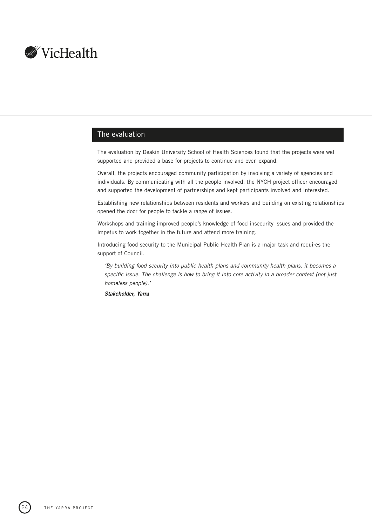<span id="page-25-0"></span>

# The evaluation

The evaluation by Deakin University School of Health Sciences found that the projects were well supported and provided a base for projects to continue and even expand.

Overall, the projects encouraged community participation by involving a variety of agencies and individuals. By communicating with all the people involved, the NYCH project officer encouraged and supported the development of partnerships and kept participants involved and interested.

Establishing new relationships between residents and workers and building on existing relationships opened the door for people to tackle a range of issues.

Workshops and training improved people's knowledge of food insecurity issues and provided the impetus to work together in the future and attend more training.

Introducing food security to the Municipal Public Health Plan is a major task and requires the support of Council.

'By building food security into public health plans and community health plans, it becomes a specific issue. The challenge is how to bring it into core activity in a broader context (not just homeless people).'

**Stakeholder, Yarra**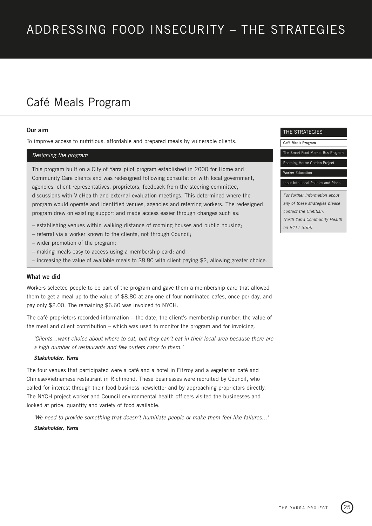# <span id="page-26-0"></span>ADDRESSING FOOD INSECURITY – THE STRATEGIES

# Café Meals Program

#### **Our aim**

To improve access to nutritious, affordable and prepared meals by vulnerable clients.

#### Designing the program

This program built on a City of Yarra pilot program established in 2000 for Home and Community Care clients and was redesigned following consultation with local government, agencies, client representatives, proprietors, feedback from the steering committee, discussions with VicHealth and external evaluation meetings. This determined where the program would operate and identified venues, agencies and referring workers. The redesigned program drew on existing support and made access easier through changes such as:

- establishing venues within walking distance of rooming houses and public housing;
- referral via a worker known to the clients, not through Council;
- wider promotion of the program;
- making meals easy to access using a membership card; and
- increasing the value of available meals to \$8.80 with client paying \$2, allowing greater choice.

#### **What we did**

Workers selected people to be part of the program and gave them a membership card that allowed them to get a meal up to the value of \$8.80 at any one of four nominated cafes, once per day, and pay only \$2.00. The remaining \$6.60 was invoiced to NYCH.

The café proprietors recorded information – the date, the client's membership number, the value of the meal and client contribution – which was used to monitor the program and for invoicing.

'Clients…want choice about where to eat, but they can't eat in their local area because there are a high number of restaurants and few outlets cater to them.'

#### **Stakeholder, Yarra**

The four venues that participated were a café and a hotel in Fitzroy and a vegetarian café and Chinese/Vietnamese restaurant in Richmond. These businesses were recruited by Council, who called for interest through their food business newsletter and by approaching proprietors directly. The NYCH project worker and Council environmental health officers visited the businesses and looked at price, quantity and variety of food available.

'We need to provide something that doesn't humiliate people or make them feel like failures…'

### **Stakeholder, Yarra**

#### THE STRATEGIES

**Café Meals Program**

[The Smart Food Market Bus Program](#page-29-0)

[Rooming House Garden Project](#page-31-0)

[Worker Education](#page-33-0)

[Input into Local Policies and Plans](#page-35-0)

For further information about any of these strategies please contact the Dietitian, North Yarra Community Health on 9411 3555.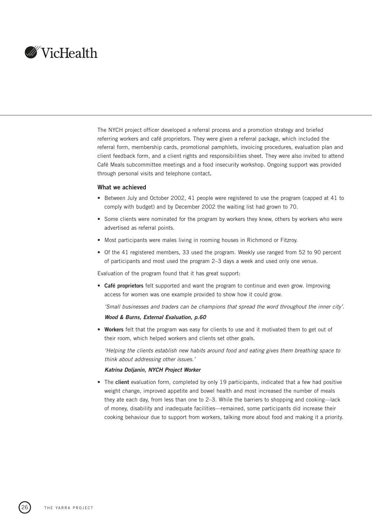

The NYCH project officer developed a referral process and a promotion strategy and briefed referring workers and café proprietors. They were given a referral package, which included the referral form, membership cards, promotional pamphlets, invoicing procedures, evaluation plan and client feedback form, and a client rights and responsibilities sheet. They were also invited to attend Café Meals subcommittee meetings and a food insecurity workshop. Ongoing support was provided through personal visits and telephone contact**.**

#### **What we achieved**

- Between July and October 2002, 41 people were registered to use the program (capped at 41 to comply with budget) and by December 2002 the waiting list had grown to 70.
- Some clients were nominated for the program by workers they knew, others by workers who were advertised as referral points.
- Most participants were males living in rooming houses in Richmond or Fitzroy.
- Of the 41 registered members, 33 used the program. Weekly use ranged from 52 to 90 percent of participants and most used the program 2–3 days a week and used only one venue.

Evaluation of the program found that it has great support:

• **Café proprietors** felt supported and want the program to continue and even grow. Improving access for women was one example provided to show how it could grow.

'Small businesses and traders can be champions that spread the word throughout the inner city'. **Wood & Burns, External Evaluation, p.60**

- 
- **Workers** felt that the program was easy for clients to use and it motivated them to get out of their room, which helped workers and clients set other goals.

'Helping the clients establish new habits around food and eating gives them breathing space to think about addressing other issues.'

#### **Katrina Doljanin, NYCH Project Worker**

• The **client** evaluation form, completed by only 19 participants, indicated that a few had positive weight change, improved appetite and bowel health and most increased the number of meals they ate each day, from less than one to 2–3. While the barriers to shopping and cooking—lack of money, disability and inadequate facilities—remained, some participants did increase their cooking behaviour due to support from workers, talking more about food and making it a priority.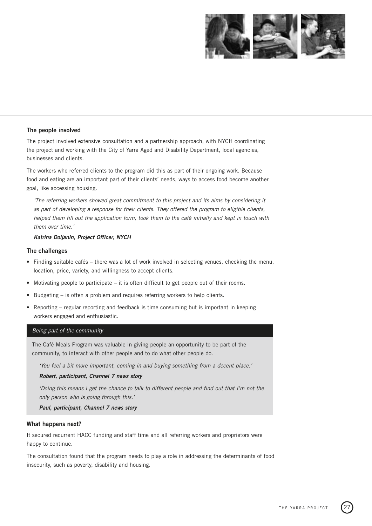

# **The people involved**

The project involved extensive consultation and a partnership approach, with NYCH coordinating the project and working with the City of Yarra Aged and Disability Department, local agencies, businesses and clients.

The workers who referred clients to the program did this as part of their ongoing work. Because food and eating are an important part of their clients' needs, ways to access food become another goal, like accessing housing.

'The referring workers showed great commitment to this project and its aims by considering it as part of developing a response for their clients. They offered the program to eligible clients, helped them fill out the application form, took them to the café initially and kept in touch with them over time.'

# **Katrina Doljanin, Project Officer, NYCH**

# **The challenges**

- Finding suitable cafés there was a lot of work involved in selecting venues, checking the menu, location, price, variety, and willingness to accept clients.
- Motivating people to participate it is often difficult to get people out of their rooms.
- Budgeting is often a problem and requires referring workers to help clients.
- Reporting regular reporting and feedback is time consuming but is important in keeping workers engaged and enthusiastic.

#### Being part of the community

The Café Meals Program was valuable in giving people an opportunity to be part of the community, to interact with other people and to do what other people do.

'You feel a bit more important, coming in and buying something from a decent place.'

**Robert, participant, Channel 7 news story**

'Doing this means I get the chance to talk to different people and find out that I'm not the only person who is going through this.'

**Paul, participant, Channel 7 news story**

# **What happens next?**

It secured recurrent HACC funding and staff time and all referring workers and proprietors were happy to continue.

The consultation found that the program needs to play a role in addressing the determinants of food insecurity, such as poverty, disability and housing.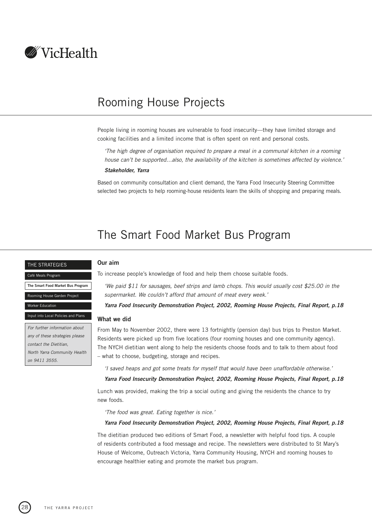<span id="page-29-0"></span>

# Rooming House Projects

People living in rooming houses are vulnerable to food insecurity—they have limited storage and cooking facilities and a limited income that is often spent on rent and personal costs.

'The high degree of organisation required to prepare a meal in a communal kitchen in a rooming house can't be supported...also, the availability of the kitchen is sometimes affected by violence.'

#### **Stakeholder, Yarra**

Based on community consultation and client demand, the Yarra Food Insecurity Steering Committee selected two projects to help rooming-house residents learn the skills of shopping and preparing meals.

# The Smart Food Market Bus Program

#### THE STRATEGIES

**The Smart Food Market Bus Program** ming House Garden Pro

[Café Meals Program](#page-26-0)

[Worker Education](#page-33-0)

To increase people's knowledge of food and help them choose suitable foods.

'We paid \$11 for sausages, beef strips and lamb chops. This would usually cost \$25.00 in the supermarket. We couldn't afford that amount of meat every week.'

**Yarra Food Insecurity Demonstration Project, 2002, Rooming House Projects, Final Report, p.18**

#### **What we did**

**Our aim**

From May to November 2002, there were 13 fortnightly (pension day) bus trips to Preston Market. Residents were picked up from five locations (four rooming houses and one community agency). The NYCH dietitian went along to help the residents choose foods and to talk to them about food – what to choose, budgeting, storage and recipes.

'I saved heaps and got some treats for myself that would have been unaffordable otherwise.'

# **Yarra Food Insecurity Demonstration Project, 2002, Rooming House Projects, Final Report, p.18**

Lunch was provided, making the trip a social outing and giving the residents the chance to try new foods.

'The food was great. Eating together is nice.'

#### **Yarra Food Insecurity Demonstration Project, 2002, Rooming House Projects, Final Report, p.18**

The dietitian produced two editions of Smart Food, a newsletter with helpful food tips. A couple of residents contributed a food message and recipe. The newsletters were distributed to St Mary's House of Welcome, Outreach Victoria, Yarra Community Housing, NYCH and rooming houses to encourage healthier eating and promote the market bus program.

For further information about any of these strategies please contact the Dietitian, North Yarra Community Health on 9411 3555.

[Input into Local Policies and Plans](#page-35-0)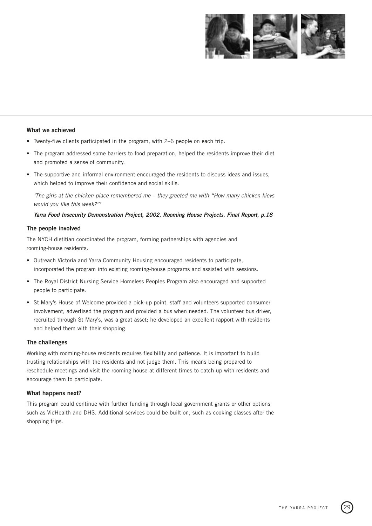

#### **What we achieved**

- Twenty-five clients participated in the program, with 2–6 people on each trip.
- The program addressed some barriers to food preparation, helped the residents improve their diet and promoted a sense of community.
- The supportive and informal environment encouraged the residents to discuss ideas and issues, which helped to improve their confidence and social skills.

'The girls at the chicken place remembered me – they greeted me with "How many chicken kievs would you like this week?"'

#### **Yarra Food Insecurity Demonstration Project, 2002, Rooming House Projects, Final Report, p.18**

#### **The people involved**

The NYCH dietitian coordinated the program, forming partnerships with agencies and rooming-house residents.

- Outreach Victoria and Yarra Community Housing encouraged residents to participate, incorporated the program into existing rooming-house programs and assisted with sessions.
- The Royal District Nursing Service Homeless Peoples Program also encouraged and supported people to participate.
- St Mary's House of Welcome provided a pick-up point, staff and volunteers supported consumer involvement, advertised the program and provided a bus when needed. The volunteer bus driver, recruited through St Mary's, was a great asset; he developed an excellent rapport with residents and helped them with their shopping.

### **The challenges**

Working with rooming-house residents requires flexibility and patience. It is important to build trusting relationships with the residents and not judge them. This means being prepared to reschedule meetings and visit the rooming house at different times to catch up with residents and encourage them to participate.

### **What happens next?**

This program could continue with further funding through local government grants or other options such as VicHealth and DHS. Additional services could be built on, such as cooking classes after the shopping trips.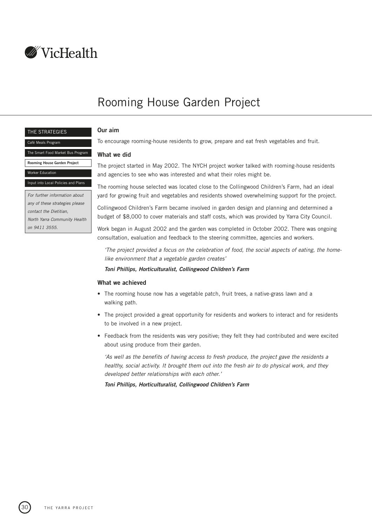<span id="page-31-0"></span>

# Rooming House Garden Project

#### THE STRATEGIES

[Café Meals Program](#page-26-0)

[The Smart Food Market Bus Program](#page-29-0)

**Rooming House Garden Project**

[Worker Education](#page-33-0)

on 9411 3555.

For further information about any of these strategies please contact the Dietitian, North Yarra Community Health

[Input into Local Policies and Plans](#page-35-0)

**Our aim**

To encourage rooming-house residents to grow, prepare and eat fresh vegetables and fruit.

# **What we did**

The project started in May 2002. The NYCH project worker talked with rooming-house residents and agencies to see who was interested and what their roles might be.

The rooming house selected was located close to the Collingwood Children's Farm, had an ideal yard for growing fruit and vegetables and residents showed overwhelming support for the project.

Collingwood Children's Farm became involved in garden design and planning and determined a budget of \$8,000 to cover materials and staff costs, which was provided by Yarra City Council.

Work began in August 2002 and the garden was completed in October 2002. There was ongoing consultation, evaluation and feedback to the steering committee, agencies and workers.

'The project provided a focus on the celebration of food, the social aspects of eating, the homelike environment that a vegetable garden creates'

## **Toni Phillips, Horticulturalist, Collingwood Children's Farm**

#### **What we achieved**

- The rooming house now has a vegetable patch, fruit trees, a native-grass lawn and a walking path.
- The project provided a great opportunity for residents and workers to interact and for residents to be involved in a new project.
- Feedback from the residents was very positive; they felt they had contributed and were excited about using produce from their garden.

'As well as the benefits of having access to fresh produce, the project gave the residents a healthy, social activity. It brought them out into the fresh air to do physical work, and they developed better relationships with each other.'

**Toni Phillips, Horticulturalist, Collingwood Children's Farm**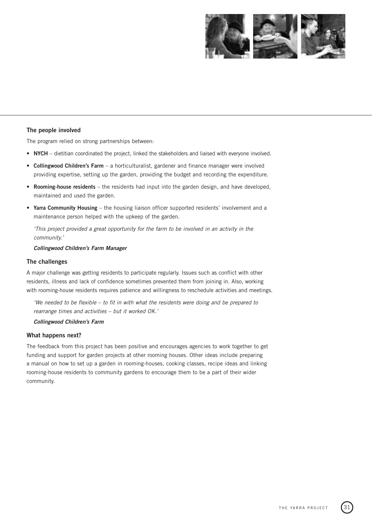

# **The people involved**

The program relied on strong partnerships between:

- **NYCH** dietitian coordinated the project, linked the stakeholders and liaised with everyone involved.
- **Collingwood Children's Farm** a horticulturalist, gardener and finance manager were involved providing expertise, setting up the garden, providing the budget and recording the expenditure.
- **Rooming-house residents** the residents had input into the garden design, and have developed, maintained and used the garden.
- **Yarra Community Housing** the housing liaison officer supported residents' involvement and a maintenance person helped with the upkeep of the garden.

'This project provided a great opportunity for the farm to be involved in an activity in the community.'

#### **Collingwood Children's Farm Manager**

#### **The challenges**

A major challenge was getting residents to participate regularly. Issues such as conflict with other residents, illness and lack of confidence sometimes prevented them from joining in. Also, working with rooming-house residents requires patience and willingness to reschedule activities and meetings.

'We needed to be flexible – to fit in with what the residents were doing and be prepared to rearrange times and activities – but it worked OK.'

#### **Collingwood Children's Farm**

#### **What happens next?**

The feedback from this project has been positive and encourages agencies to work together to get funding and support for garden projects at other rooming houses. Other ideas include preparing a manual on how to set up a garden in rooming-houses, cooking classes, recipe ideas and linking rooming-house residents to community gardens to encourage them to be a part of their wider community.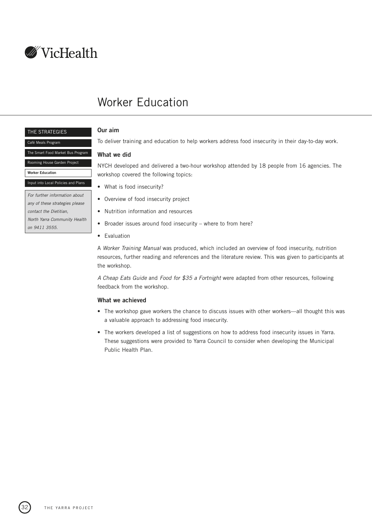<span id="page-33-0"></span>

# Worker Education

#### THE STRATEGIES

#### [Café Meals Program](#page-26-0)

[The Smart Food Market Bus Program](#page-29-0)

[Rooming House Garden Project](#page-31-0)

#### **Worker Education**

[Input into Local Policies and Plans](#page-35-0)

For further information about any of these strategies please contact the Dietitian, North Yarra Community Health on 9411 3555.

# **Our aim**

To deliver training and education to help workers address food insecurity in their day-to-day work.

# **What we did**

NYCH developed and delivered a two-hour workshop attended by 18 people from 16 agencies. The workshop covered the following topics:

- What is food insecurity?
- Overview of food insecurity project
- Nutrition information and resources
- Broader issues around food insecurity where to from here?
- Evaluation

A Worker Training Manual was produced, which included an overview of food insecurity, nutrition resources, further reading and references and the literature review. This was given to participants at the workshop.

A Cheap Eats Guide and Food for \$35 a Fortnight were adapted from other resources, following feedback from the workshop.

# **What we achieved**

- The workshop gave workers the chance to discuss issues with other workers—all thought this was a valuable approach to addressing food insecurity.
- The workers developed a list of suggestions on how to address food insecurity issues in Yarra. These suggestions were provided to Yarra Council to consider when developing the Municipal Public Health Plan.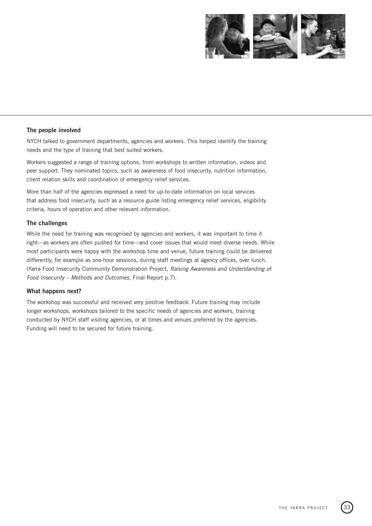

# **The people involved**

NYCH talked to government departments, agencies and workers. This helped identify the training needs and the type of training that best suited workers.

Workers suggested a range of training options, from workshops to written information, videos and peer support. They nominated topics, such as awareness of food insecurity, nutrition information, client relation skills and coordination of emergency relief services.

More than half of the agencies expressed a need for up-to-date information on local services that address food insecurity, such as a resource guide listing emergency relief services, eligibility criteria, hours of operation and other relevant information.

# **The challenges**

While the need for training was recognised by agencies and workers, it was important to time it right—as workers are often pushed for time—and cover issues that would meet diverse needs. While most participants were happy with the workshop time and venue, future training could be delivered differently, for example as one-hour sessions, during staff meetings at agency offices, over lunch. (Yarra Food Insecurity Community Demonstration Project, Raising Awareness and Understanding of Food Insecurity – Methods and Outcomes, Final Report p.7).

# **What happens next?**

The workshop was successful and received very positive feedback. Future training may include longer workshops, workshops tailored to the specific needs of agencies and workers, training conducted by NYCH staff visiting agencies, or at times and venues preferred by the agencies. Funding will need to be secured for future training.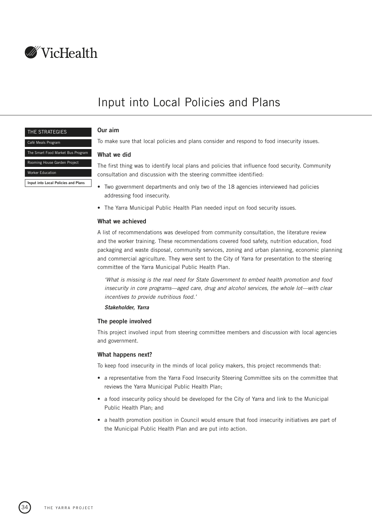<span id="page-35-0"></span>

# Input into Local Policies and Plans

#### THE STRATEGIES

[The Smart Food Market Bus Program](#page-29-0) [Rooming House Garden Project](#page-31-0)

**Input into Local Policies and Plans**

[Café Meals Program](#page-26-0)

[Worker Education](#page-33-0)

# **Our aim**

To make sure that local policies and plans consider and respond to food insecurity issues.

#### **What we did**

The first thing was to identify local plans and policies that influence food security. Community consultation and discussion with the steering committee identified:

- Two government departments and only two of the 18 agencies interviewed had policies addressing food insecurity.
- The Yarra Municipal Public Health Plan needed input on food security issues.

#### **What we achieved**

A list of recommendations was developed from community consultation, the literature review and the worker training. These recommendations covered food safety, nutrition education, food packaging and waste disposal, community services, zoning and urban planning, economic planning and commercial agriculture. They were sent to the City of Yarra for presentation to the steering committee of the Yarra Municipal Public Health Plan.

'What is missing is the real need for State Government to embed health promotion and food insecurity in core programs—aged care, drug and alcohol services, the whole lot—with clear incentives to provide nutritious food.'

**Stakeholder, Yarra**

### **The people involved**

This project involved input from steering committee members and discussion with local agencies and government.

#### **What happens next?**

To keep food insecurity in the minds of local policy makers, this project recommends that:

- a representative from the Yarra Food Insecurity Steering Committee sits on the committee that reviews the Yarra Municipal Public Health Plan;
- a food insecurity policy should be developed for the City of Yarra and link to the Municipal Public Health Plan; and
- a health promotion position in Council would ensure that food insecurity initiatives are part of the Municipal Public Health Plan and are put into action.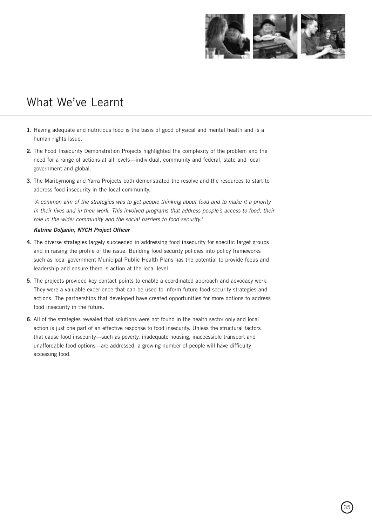

# <span id="page-36-0"></span>What We've Learnt

- **1.** Having adequate and nutritious food is the basis of good physical and mental health and is a human rights issue.
- **2.** The Food Insecurity Demonstration Projects highlighted the complexity of the problem and the need for a range of actions at all levels—individual, community and federal, state and local government and global.
- **3.** The Maribyrnong and Yarra Projects both demonstrated the resolve and the resources to start to address food insecurity in the local community.

'A common aim of the strategies was to get people thinking about food and to make it a priority in their lives and in their work. This involved programs that address people's access to food, their role in the wider community and the social barriers to food security.'

# **Katrina Doljanin, NYCH Project Officer**

- **4.** The diverse strategies largely succeeded in addressing food insecurity for specific target groups and in raising the profile of the issue. Building food security policies into policy frameworks such as local government Municipal Public Health Plans has the potential to provide focus and leadership and ensure there is action at the local level.
- **5.** The projects provided key contact points to enable a coordinated approach and advocacy work. They were a valuable experience that can be used to inform future food security strategies and actions. The partnerships that developed have created opportunities for more options to address food insecurity in the future.
- **6.** All of the strategies revealed that solutions were not found in the health sector only and local action is just one part of an effective response to food insecurity. Unless the structural factors that cause food insecurity—such as poverty, inadequate housing, inaccessible transport and unaffordable food options—are addressed, a growing number of people will have difficulty accessing food.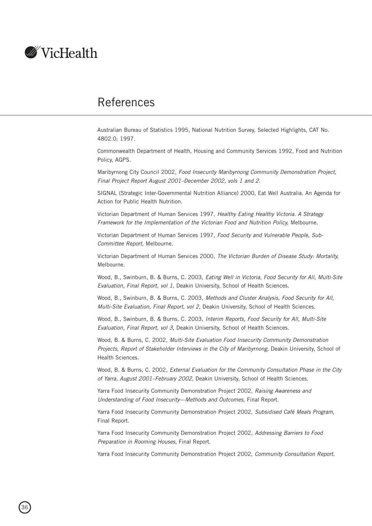<span id="page-37-0"></span>

# References

Australian Bureau of Statistics 1995, National Nutrition Survey, Selected Highlights, CAT No. 4802.0; 1997.

Commonwealth Department of Health, Housing and Community Services 1992, Food and Nutrition Policy, AGPS.

Maribyrnong City Council 2002, Food Insecurity Maribyrnong Community Demonstration Project, Final Project Report August 2001–December 2002, vols 1 and 2.

SIGNAL (Strategic Inter-Governmental Nutrition Alliance) 2000, Eat Well Australia. An Agenda for Action for Public Health Nutrition.

Victorian Department of Human Services 1997, Healthy Eating Healthy Victoria. A Strategy Framework for the Implementation of the Victorian Food and Nutrition Policy, Melbourne.

Victorian Department of Human Services 1997, Food Security and Vulnerable People, Sub-Committee Report, Melbourne.

Victorian Department of Human Services 2000, The Victorian Burden of Disease Study: Mortality, Melbourne.

Wood, B., Swinburn, B. & Burns, C. 2003, Eating Well in Victoria, Food Security for All, Multi-Site Evaluation, Final Report, vol 1, Deakin University, School of Health Sciences.

Wood, B., Swinburn, B. & Burns, C. 2003, Methods and Cluster Analysis, Food Security for All, Multi-Site Evaluation, Final Report, vol 2, Deakin University, School of Health Sciences.

Wood, B., Swinburn, B. & Burns, C. 2003, Interim Reports, Food Security for All, Multi-Site Evaluation, Final Report, vol 3, Deakin University, School of Health Sciences.

Wood, B. & Burns, C. 2002, Multi-Site Evaluation Food Insecurity Community Demonstration Projects, Report of Stakeholder Interviews in the City of Maribyrnong, Deakin University, School of Health Sciences.

Wood, B. & Burns, C. 2002, External Evaluation for the Community Consultation Phase in the City of Yarra, August 2001–February 2002, Deakin University, School of Health Sciences.

Yarra Food Insecurity Community Demonstration Project 2002, Raising Awareness and Understanding of Food Insecurity—Methods and Outcomes, Final Report.

Yarra Food Insecurity Community Demonstration Project 2002, Subsidised Café Meals Program, Final Report.

Yarra Food Insecurity Community Demonstration Project 2002, Addressing Barriers to Food Preparation in Rooming Houses, Final Report.

Yarra Food Insecurity Community Demonstration Project 2002, Community Consultation Report.